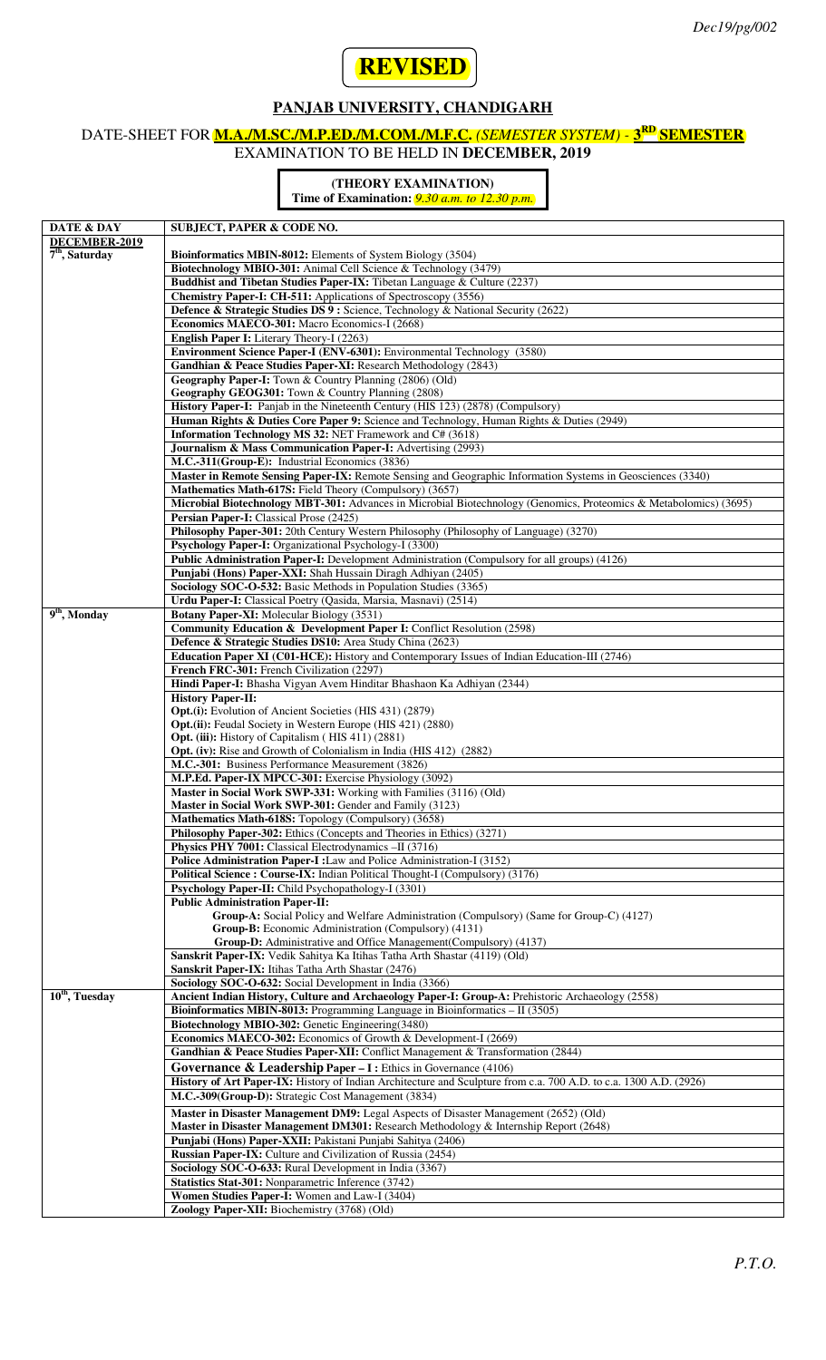

### **PANJAB UNIVERSITY, CHANDIGARH**

# DATE-SHEET FOR **M.A./M.SC./M.P.ED./M.COM./M.F.C.** *(SEMESTER SYSTEM) -* **3RD SEMESTER**

EXAMINATION TO BE HELD IN **DECEMBER, 2019**

#### **(THEORY EXAMINATION)**

**Time of Examination:** *9.30 a.m. to 12.30 p.m.*

| DATE & DAY                  | <b>SUBJECT, PAPER &amp; CODE NO.</b>                                                                              |
|-----------------------------|-------------------------------------------------------------------------------------------------------------------|
| DECEMBER-2019               |                                                                                                                   |
| $7th$ , Saturday            | <b>Bioinformatics MBIN-8012:</b> Elements of System Biology (3504)                                                |
|                             | Biotechnology MBIO-301: Animal Cell Science & Technology (3479)                                                   |
|                             |                                                                                                                   |
|                             | Buddhist and Tibetan Studies Paper-IX: Tibetan Language & Culture (2237)                                          |
|                             | <b>Chemistry Paper-I: CH-511:</b> Applications of Spectroscopy (3556)                                             |
|                             | Defence & Strategic Studies DS 9 : Science, Technology & National Security (2622)                                 |
|                             |                                                                                                                   |
|                             | Economics MAECO-301: Macro Economics-I (2668)                                                                     |
|                             | English Paper I: Literary Theory-I (2263)                                                                         |
|                             | Environment Science Paper-I (ENV-6301): Environmental Technology (3580)                                           |
|                             | Gandhian & Peace Studies Paper-XI: Research Methodology (2843)                                                    |
|                             |                                                                                                                   |
|                             | Geography Paper-I: Town & Country Planning (2806) (Old)                                                           |
|                             | Geography GEOG301: Town & Country Planning (2808)                                                                 |
|                             | History Paper-I: Panjab in the Nineteenth Century (HIS 123) (2878) (Compulsory)                                   |
|                             | Human Rights & Duties Core Paper 9: Science and Technology, Human Rights & Duties (2949)                          |
|                             |                                                                                                                   |
|                             | <b>Information Technology MS 32: NET Framework and C# (3618)</b>                                                  |
|                             | <b>Journalism &amp; Mass Communication Paper-I:</b> Advertising (2993)                                            |
|                             | M.C.-311(Group-E): Industrial Economics (3836)                                                                    |
|                             | Master in Remote Sensing Paper-IX: Remote Sensing and Geographic Information Systems in Geosciences (3340)        |
|                             |                                                                                                                   |
|                             | Mathematics Math-617S: Field Theory (Compulsory) (3657)                                                           |
|                             | Microbial Biotechnology MBT-301: Advances in Microbial Biotechnology (Genomics, Proteomics & Metabolomics) (3695) |
|                             | Persian Paper-I: Classical Prose (2425)                                                                           |
|                             | Philosophy Paper-301: 20th Century Western Philosophy (Philosophy of Language) (3270)                             |
|                             |                                                                                                                   |
|                             | Psychology Paper-I: Organizational Psychology-I (3300)                                                            |
|                             | Public Administration Paper-I: Development Administration (Compulsory for all groups) (4126)                      |
|                             | Punjabi (Hons) Paper-XXI: Shah Hussain Diragh Adhiyan (2405)                                                      |
|                             |                                                                                                                   |
|                             | Sociology SOC-O-532: Basic Methods in Population Studies (3365)                                                   |
|                             | Urdu Paper-I: Classical Poetry (Qasida, Marsia, Masnavi) (2514)                                                   |
| $\overline{9^{th}$ , Monday | <b>Botany Paper-XI:</b> Molecular Biology (3531)                                                                  |
|                             | Community Education & Development Paper I: Conflict Resolution (2598)                                             |
|                             | Defence & Strategic Studies DS10: Area Study China (2623)                                                         |
|                             |                                                                                                                   |
|                             | Education Paper XI (C01-HCE): History and Contemporary Issues of Indian Education-III (2746)                      |
|                             | French FRC-301: French Civilization (2297)                                                                        |
|                             | Hindi Paper-I: Bhasha Vigyan Avem Hinditar Bhashaon Ka Adhiyan (2344)                                             |
|                             | <b>History Paper-II:</b>                                                                                          |
|                             |                                                                                                                   |
|                             | Opt.(i): Evolution of Ancient Societies (HIS 431) (2879)                                                          |
|                             | Opt.(ii): Feudal Society in Western Europe (HIS 421) (2880)                                                       |
|                             | Opt. (iii): History of Capitalism (HIS 411) (2881)                                                                |
|                             | <b>Opt. (iv):</b> Rise and Growth of Colonialism in India (HIS 412) (2882)                                        |
|                             |                                                                                                                   |
|                             | M.C.-301: Business Performance Measurement (3826)                                                                 |
|                             | M.P.Ed. Paper-IX MPCC-301: Exercise Physiology (3092)                                                             |
|                             | Master in Social Work SWP-331: Working with Families (3116) (Old)                                                 |
|                             | <b>Master in Social Work SWP-301:</b> Gender and Family (3123)                                                    |
|                             |                                                                                                                   |
|                             | Mathematics Math-618S: Topology (Compulsory) (3658)                                                               |
|                             | Philosophy Paper-302: Ethics (Concepts and Theories in Ethics) (3271)                                             |
|                             | Physics PHY 7001: Classical Electrodynamics -II (3716)                                                            |
|                             | Police Administration Paper-I : Law and Police Administration-I (3152)                                            |
|                             | Political Science: Course-IX: Indian Political Thought-I (Compulsory) (3176)                                      |
|                             |                                                                                                                   |
|                             | Psychology Paper-II: Child Psychopathology-I (3301)                                                               |
|                             | <b>Public Administration Paper-II:</b>                                                                            |
|                             | Group-A: Social Policy and Welfare Administration (Compulsory) (Same for Group-C) (4127)                          |
|                             | Group-B: Economic Administration (Compulsory) (4131)                                                              |
|                             | Group-D: Administrative and Office Management(Compulsory) (4137)                                                  |
|                             |                                                                                                                   |
|                             | Sanskrit Paper-IX: Vedik Sahitya Ka Itihas Tatha Arth Shastar (4119) (Old)                                        |
|                             | Sanskrit Paper-IX: Itihas Tatha Arth Shastar (2476)                                                               |
|                             | Sociology SOC-O-632: Social Development in India (3366)                                                           |
| 10 <sup>th</sup> , Tuesday  | Ancient Indian History, Culture and Archaeology Paper-I: Group-A: Prehistoric Archaeology (2558)                  |
|                             |                                                                                                                   |
|                             | Bioinformatics MBIN-8013: Programming Language in Bioinformatics - II (3505)                                      |
|                             | Biotechnology MBIO-302: Genetic Engineering(3480)                                                                 |
|                             | Economics MAECO-302: Economics of Growth & Development-I (2669)                                                   |
|                             | Gandhian & Peace Studies Paper-XII: Conflict Management & Transformation (2844)                                   |
|                             |                                                                                                                   |
|                             | Governance & Leadership Paper - I : Ethics in Governance (4106)                                                   |
|                             | History of Art Paper-IX: History of Indian Architecture and Sculpture from c.a. 700 A.D. to c.a. 1300 A.D. (2926) |
|                             | M.C.-309(Group-D): Strategic Cost Management (3834)                                                               |
|                             |                                                                                                                   |
|                             | Master in Disaster Management DM9: Legal Aspects of Disaster Management (2652) (Old)                              |
|                             | Master in Disaster Management DM301: Research Methodology & Internship Report (2648)                              |
|                             | Punjabi (Hons) Paper-XXII: Pakistani Punjabi Sahitya (2406)                                                       |
|                             |                                                                                                                   |
|                             | Russian Paper-IX: Culture and Civilization of Russia (2454)                                                       |
|                             | Sociology SOC-O-633: Rural Development in India (3367)                                                            |
|                             | Statistics Stat-301: Nonparametric Inference (3742)                                                               |
|                             | Women Studies Paper-I: Women and Law-I (3404)                                                                     |
|                             |                                                                                                                   |
|                             | Zoology Paper-XII: Biochemistry (3768) (Old)                                                                      |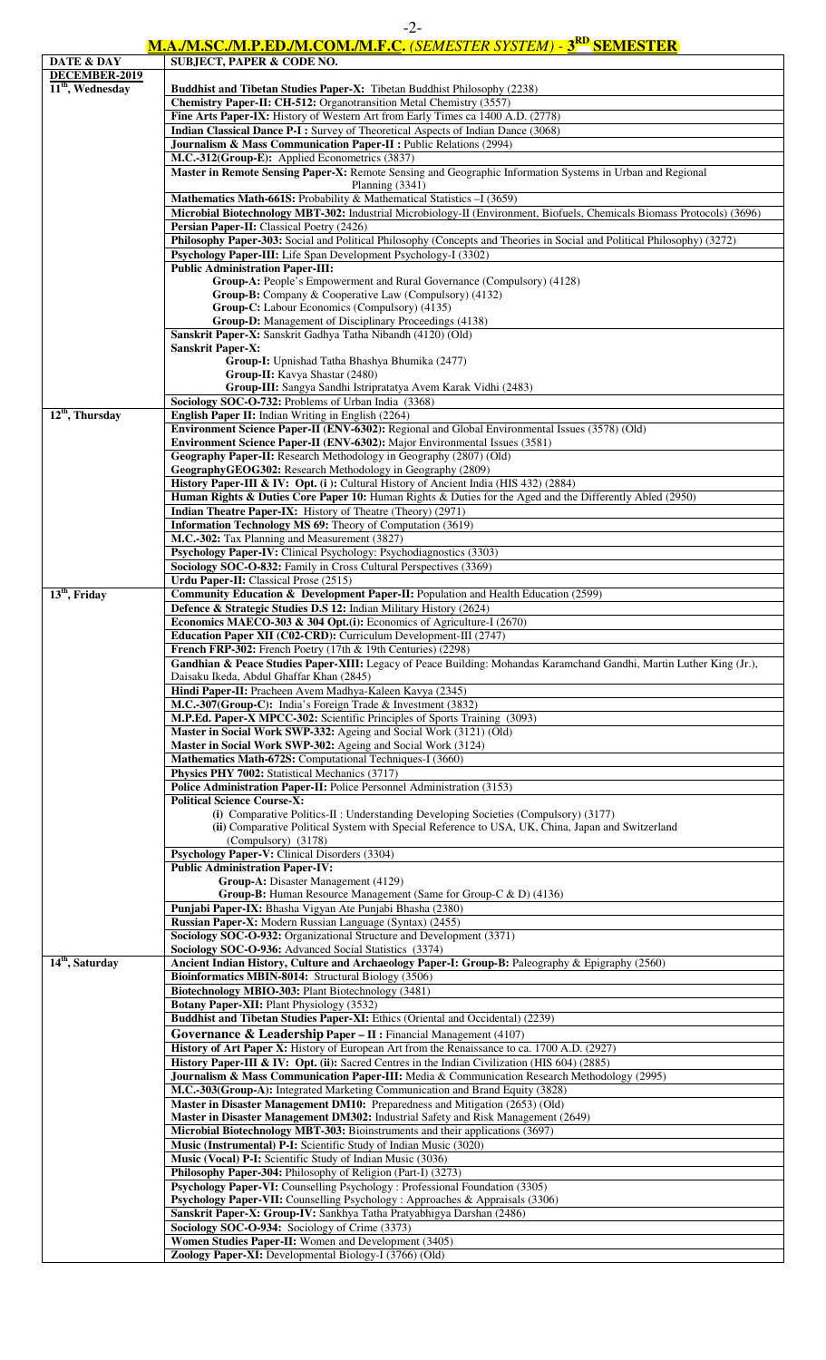# **M.A./M.SC./M.P.ED./M.COM./M.F.C.** *(SEMESTER SYSTEM) -* **3RD SEMESTER**

| DATE & DAY                  | <u>M.A./M.SC./M.F.ED./M.COM./M.F.C. (SEMESIEK SISIEM) - 3 — SEMESIEK</u><br><b>SUBJECT, PAPER &amp; CODE NO.</b>                   |
|-----------------------------|------------------------------------------------------------------------------------------------------------------------------------|
| DECEMBER-2019               |                                                                                                                                    |
| $11th$ , Wednesday          | <b>Buddhist and Tibetan Studies Paper-X:</b> Tibetan Buddhist Philosophy (2238)                                                    |
|                             | Chemistry Paper-II: CH-512: Organotransition Metal Chemistry (3557)                                                                |
|                             | Fine Arts Paper-IX: History of Western Art from Early Times ca 1400 A.D. (2778)                                                    |
|                             | <b>Indian Classical Dance P-I:</b> Survey of Theoretical Aspects of Indian Dance (3068)                                            |
|                             | Journalism & Mass Communication Paper-II : Public Relations (2994)                                                                 |
|                             | M.C.-312(Group-E): Applied Econometrics (3837)                                                                                     |
|                             | Master in Remote Sensing Paper-X: Remote Sensing and Geographic Information Systems in Urban and Regional                          |
|                             | Planning $(3341)$                                                                                                                  |
|                             | Mathematics Math-661S: Probability & Mathematical Statistics -I (3659)                                                             |
|                             | Microbial Biotechnology MBT-302: Industrial Microbiology-II (Environment, Biofuels, Chemicals Biomass Protocols) (3696)            |
|                             | Persian Paper-II: Classical Poetry (2426)                                                                                          |
|                             | Philosophy Paper-303: Social and Political Philosophy (Concepts and Theories in Social and Political Philosophy) (3272)            |
|                             | Psychology Paper-III: Life Span Development Psychology-I (3302)<br><b>Public Administration Paper-III:</b>                         |
|                             | Group-A: People's Empowerment and Rural Governance (Compulsory) (4128)                                                             |
|                             | Group-B: Company & Cooperative Law (Compulsory) (4132)                                                                             |
|                             | Group-C: Labour Economics (Compulsory) (4135)                                                                                      |
|                             | Group-D: Management of Disciplinary Proceedings (4138)                                                                             |
|                             | Sanskrit Paper-X: Sanskrit Gadhya Tatha Nibandh (4120) (Old)                                                                       |
|                             | <b>Sanskrit Paper-X:</b>                                                                                                           |
|                             | Group-I: Upnishad Tatha Bhashya Bhumika (2477)                                                                                     |
|                             | Group-II: Kavya Shastar (2480)                                                                                                     |
|                             | Group-III: Sangya Sandhi Istripratatya Avem Karak Vidhi (2483)                                                                     |
| $12th$ , Thursday           | Sociology SOC-O-732: Problems of Urban India (3368)<br>English Paper II: Indian Writing in English (2264)                          |
|                             | Environment Science Paper-II (ENV-6302): Regional and Global Environmental Issues (3578) (Old)                                     |
|                             | Environment Science Paper-II (ENV-6302): Major Environmental Issues (3581)                                                         |
|                             | Geography Paper-II: Research Methodology in Geography (2807) (Old)                                                                 |
|                             | GeographyGEOG302: Research Methodology in Geography (2809)                                                                         |
|                             | History Paper-III & IV: Opt. (i): Cultural History of Ancient India (HIS 432) (2884)                                               |
|                             | Human Rights & Duties Core Paper 10: Human Rights & Duties for the Aged and the Differently Abled (2950)                           |
|                             | Indian Theatre Paper-IX: History of Theatre (Theory) (2971)                                                                        |
|                             | Information Technology MS 69: Theory of Computation (3619)                                                                         |
|                             | M.C.-302: Tax Planning and Measurement (3827)                                                                                      |
|                             | Psychology Paper-IV: Clinical Psychology: Psychodiagnostics (3303)                                                                 |
|                             | Sociology SOC-O-832: Family in Cross Cultural Perspectives (3369)                                                                  |
| $13th$ , Friday             | Urdu Paper-II: Classical Prose (2515)<br>Community Education & Development Paper-II: Population and Health Education (2599)        |
|                             | Defence & Strategic Studies D.S 12: Indian Military History (2624)                                                                 |
|                             | Economics MAECO-303 & 304 Opt.(i): Economics of Agriculture-I (2670)                                                               |
|                             | Education Paper XII (C02-CRD): Curriculum Development-III (2747)                                                                   |
|                             | French FRP-302: French Poetry (17th & 19th Centuries) (2298)                                                                       |
|                             | Gandhian & Peace Studies Paper-XIII: Legacy of Peace Building: Mohandas Karamchand Gandhi, Martin Luther King (Jr.),               |
|                             | Daisaku Ikeda, Abdul Ghaffar Khan (2845)                                                                                           |
|                             | Hindi Paper-II: Pracheen Avem Madhya-Kaleen Kavya (2345)                                                                           |
|                             | M.C.-307(Group-C): India's Foreign Trade & Investment (3832)                                                                       |
|                             | M.P.Ed. Paper-X MPCC-302: Scientific Principles of Sports Training (3093)                                                          |
|                             | Master in Social Work SWP-332: Ageing and Social Work (3121) (Old)<br>Master in Social Work SWP-302: Ageing and Social Work (3124) |
|                             | Mathematics Math-672S: Computational Techniques-I (3660)                                                                           |
|                             | Physics PHY 7002: Statistical Mechanics (3717)                                                                                     |
|                             | Police Administration Paper-II: Police Personnel Administration (3153)                                                             |
|                             | <b>Political Science Course-X:</b>                                                                                                 |
|                             | (i) Comparative Politics-II : Understanding Developing Societies (Compulsory) (3177)                                               |
|                             | (ii) Comparative Political System with Special Reference to USA, UK, China, Japan and Switzerland                                  |
|                             | (Compulsory) (3178)                                                                                                                |
|                             | Psychology Paper-V: Clinical Disorders (3304)                                                                                      |
|                             | <b>Public Administration Paper-IV:</b><br>Group-A: Disaster Management (4129)                                                      |
|                             | Group-B: Human Resource Management (Same for Group-C & D) (4136)                                                                   |
|                             | Punjabi Paper-IX: Bhasha Vigyan Ate Punjabi Bhasha (2380)                                                                          |
|                             | Russian Paper-X: Modern Russian Language (Syntax) (2455)                                                                           |
|                             | Sociology SOC-O-932: Organizational Structure and Development (3371)                                                               |
|                             | Sociology SOC-O-936: Advanced Social Statistics (3374)                                                                             |
| 14 <sup>th</sup> , Saturday | Ancient Indian History, Culture and Archaeology Paper-I: Group-B: Paleography & Epigraphy (2560)                                   |
|                             | Bioinformatics MBIN-8014: Structural Biology (3506)                                                                                |
|                             | Biotechnology MBIO-303: Plant Biotechnology (3481)<br><b>Botany Paper-XII: Plant Physiology (3532)</b>                             |
|                             | Buddhist and Tibetan Studies Paper-XI: Ethics (Oriental and Occidental) (2239)                                                     |
|                             | Governance & Leadership Paper - II : Financial Management (4107)                                                                   |
|                             | History of Art Paper X: History of European Art from the Renaissance to ca. 1700 A.D. (2927)                                       |
|                             | History Paper-III & IV: Opt. (ii): Sacred Centres in the Indian Civilization (HIS 604) (2885)                                      |
|                             | Journalism & Mass Communication Paper-III: Media & Communication Research Methodology (2995)                                       |
|                             | M.C.-303(Group-A): Integrated Marketing Communication and Brand Equity (3828)                                                      |
|                             |                                                                                                                                    |
|                             | Master in Disaster Management DM10: Preparedness and Mitigation (2653) (Old)                                                       |
|                             | Master in Disaster Management DM302: Industrial Safety and Risk Management (2649)                                                  |
|                             | <b>Microbial Biotechnology MBT-303:</b> Bioinstruments and their applications (3697)                                               |
|                             | Music (Instrumental) P-I: Scientific Study of Indian Music (3020)                                                                  |
|                             | Music (Vocal) P-I: Scientific Study of Indian Music (3036)                                                                         |
|                             | Philosophy Paper-304: Philosophy of Religion (Part-I) (3273)                                                                       |
|                             | Psychology Paper-VI: Counselling Psychology : Professional Foundation (3305)                                                       |
|                             | Psychology Paper-VII: Counselling Psychology : Approaches & Appraisals (3306)                                                      |
|                             | Sanskrit Paper-X: Group-IV: Sankhya Tatha Pratyabhigya Darshan (2486)                                                              |
|                             | Sociology SOC-O-934: Sociology of Crime (3373)<br>Women Studies Paper-II: Women and Development (3405)                             |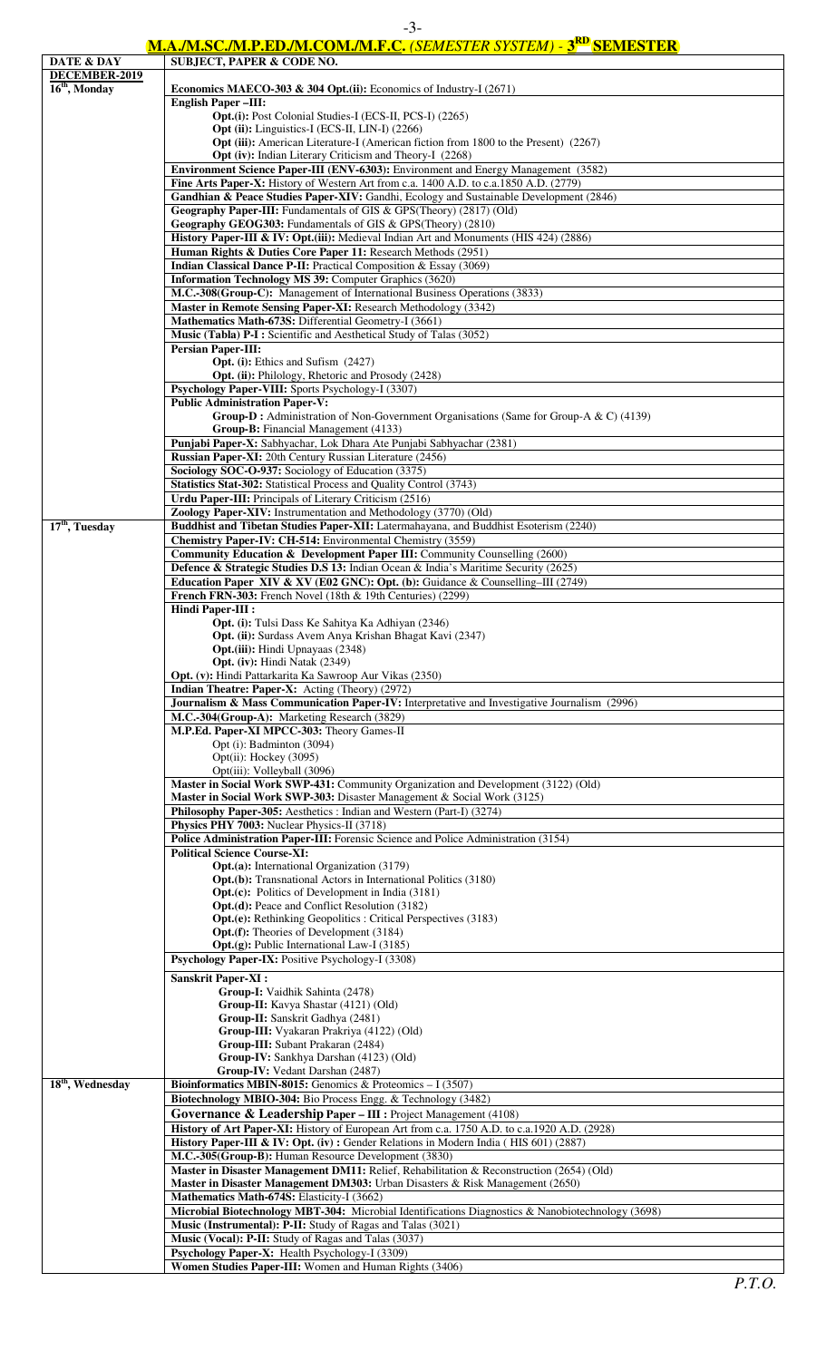## **M.A./M.SC./M.P.ED./M.COM./M.F.C.** *(SEMESTER SYSTEM) -* **3RD SEMESTER**

|                              | <u> M.A./M.SC./M.P.ED./M.COM./M.F.C. (SEMESTER SYSTEM) - 5 " SEMESTER</u>                                                     |
|------------------------------|-------------------------------------------------------------------------------------------------------------------------------|
| DATE & DAY                   | <b>SUBJECT, PAPER &amp; CODE NO.</b>                                                                                          |
| DECEMBER-2019                |                                                                                                                               |
| $16th$ , Monday              | Economics MAECO-303 & 304 Opt.(ii): Economics of Industry-I $(2671)$                                                          |
|                              | <b>English Paper-III:</b>                                                                                                     |
|                              | Opt.(i): Post Colonial Studies-I (ECS-II, PCS-I) (2265)<br>Opt (ii): Linguistics-I (ECS-II, LIN-I) (2266)                     |
|                              | Opt (iii): American Literature-I (American fiction from 1800 to the Present) (2267)                                           |
|                              | Opt (iv): Indian Literary Criticism and Theory-I (2268)                                                                       |
|                              | Environment Science Paper-III (ENV-6303): Environment and Energy Management (3582)                                            |
|                              | Fine Arts Paper-X: History of Western Art from c.a. 1400 A.D. to c.a.1850 A.D. (2779)                                         |
|                              | Gandhian & Peace Studies Paper-XIV: Gandhi, Ecology and Sustainable Development (2846)                                        |
|                              | Geography Paper-III: Fundamentals of GIS & GPS(Theory) (2817) (Old)                                                           |
|                              | Geography GEOG303: Fundamentals of GIS & GPS(Theory) (2810)                                                                   |
|                              | History Paper-III & IV: Opt.(iii): Medieval Indian Art and Monuments (HIS 424) (2886)                                         |
|                              | Human Rights & Duties Core Paper 11: Research Methods (2951)                                                                  |
|                              | Indian Classical Dance P-II: Practical Composition & Essay (3069)                                                             |
|                              | Information Technology MS 39: Computer Graphics (3620)                                                                        |
|                              | M.C.-308(Group-C): Management of International Business Operations (3833)                                                     |
|                              | Master in Remote Sensing Paper-XI: Research Methodology (3342)                                                                |
|                              | Mathematics Math-673S: Differential Geometry-I (3661)                                                                         |
|                              | Music (Tabla) P-I: Scientific and Aesthetical Study of Talas (3052)                                                           |
|                              | <b>Persian Paper-III:</b>                                                                                                     |
|                              | Opt. (i): Ethics and Sufism (2427)                                                                                            |
|                              | Opt. (ii): Philology, Rhetoric and Prosody (2428)                                                                             |
|                              | Psychology Paper-VIII: Sports Psychology-I (3307)                                                                             |
|                              | <b>Public Administration Paper-V:</b>                                                                                         |
|                              | Group-D: Administration of Non-Government Organisations (Same for Group-A & C) (4139)<br>Group-B: Financial Management (4133) |
|                              | Punjabi Paper-X: Sabhyachar, Lok Dhara Ate Punjabi Sabhyachar (2381)                                                          |
|                              | Russian Paper-XI: 20th Century Russian Literature (2456)                                                                      |
|                              | Sociology SOC-O-937: Sociology of Education (3375)                                                                            |
|                              | Statistics Stat-302: Statistical Process and Quality Control (3743)                                                           |
|                              | Urdu Paper-III: Principals of Literary Criticism (2516)                                                                       |
|                              | Zoology Paper-XIV: Instrumentation and Methodology (3770) (Old)                                                               |
| $17th$ , Tuesday             | Buddhist and Tibetan Studies Paper-XII: Latermahayana, and Buddhist Esoterism (2240)                                          |
|                              | Chemistry Paper-IV: CH-514: Environmental Chemistry (3559)                                                                    |
|                              | Community Education & Development Paper III: Community Counselling (2600)                                                     |
|                              | Defence & Strategic Studies D.S 13: Indian Ocean & India's Maritime Security (2625)                                           |
|                              | Education Paper XIV & XV (E02 GNC): Opt. (b): Guidance & Counselling-III (2749)                                               |
|                              | French FRN-303: French Novel (18th & 19th Centuries) (2299)                                                                   |
|                              | <b>Hindi Paper-III:</b>                                                                                                       |
|                              | Opt. (i): Tulsi Dass Ke Sahitya Ka Adhiyan (2346)                                                                             |
|                              | Opt. (ii): Surdass Avem Anya Krishan Bhagat Kavi (2347)                                                                       |
|                              | <b>Opt.</b> (iii): Hindi Upnayaas (2348)<br>Opt. (iv): Hindi Natak (2349)                                                     |
|                              | Opt. (v): Hindi Pattarkarita Ka Sawroop Aur Vikas (2350)                                                                      |
|                              | <b>Indian Theatre: Paper-X:</b> Acting (Theory) (2972)                                                                        |
|                              | Journalism & Mass Communication Paper-IV: Interpretative and Investigative Journalism (2996)                                  |
|                              | M.C.-304(Group-A): Marketing Research (3829)                                                                                  |
|                              | M.P.Ed. Paper-XI MPCC-303: Theory Games-II                                                                                    |
|                              | Opt (i): Badminton (3094)                                                                                                     |
|                              | Opt(ii): Hockey (3095)                                                                                                        |
|                              | Opt(iii): Volleyball (3096)                                                                                                   |
|                              | Master in Social Work SWP-431: Community Organization and Development (3122) (Old)                                            |
|                              | Master in Social Work SWP-303: Disaster Management & Social Work (3125)                                                       |
|                              | Philosophy Paper-305: Aesthetics : Indian and Western (Part-I) (3274)                                                         |
|                              | Physics PHY 7003: Nuclear Physics-II (3718)                                                                                   |
|                              | Police Administration Paper-III: Forensic Science and Police Administration (3154)<br><b>Political Science Course-XI:</b>     |
|                              | <b>Opt.(a):</b> International Organization (3179)                                                                             |
|                              | <b>Opt.(b):</b> Transnational Actors in International Politics (3180)                                                         |
|                              | <b>Opt.(c):</b> Politics of Development in India (3181)                                                                       |
|                              | Opt.(d): Peace and Conflict Resolution (3182)                                                                                 |
|                              | <b>Opt.(e):</b> Rethinking Geopolitics : Critical Perspectives (3183)                                                         |
|                              | Opt.(f): Theories of Development (3184)                                                                                       |
|                              | Opt.(g): Public International Law-I (3185)                                                                                    |
|                              | Psychology Paper-IX: Positive Psychology-I (3308)                                                                             |
|                              | <b>Sanskrit Paper-XI:</b>                                                                                                     |
|                              | Group-I: Vaidhik Sahinta (2478)                                                                                               |
|                              | Group-II: Kavya Shastar (4121) (Old)                                                                                          |
|                              | Group-II: Sanskrit Gadhya (2481)                                                                                              |
|                              | Group-III: Vyakaran Prakriya (4122) (Old)                                                                                     |
|                              | Group-III: Subant Prakaran (2484)                                                                                             |
|                              | Group-IV: Sankhya Darshan (4123) (Old)<br>Group-IV: Vedant Darshan (2487)                                                     |
| 18 <sup>th</sup> , Wednesday | <b>Bioinformatics MBIN-8015:</b> Genomics & Proteomics $-1$ (3507)                                                            |
|                              | Biotechnology MBIO-304: Bio Process Engg. & Technology (3482)                                                                 |
|                              | Governance & Leadership Paper - III : Project Management (4108)                                                               |
|                              | History of Art Paper-XI: History of European Art from c.a. 1750 A.D. to c.a.1920 A.D. (2928)                                  |
|                              | <b>History Paper-III &amp; IV: Opt. (iv):</b> Gender Relations in Modern India (HIS 601) (2887)                               |
|                              | M.C.-305(Group-B): Human Resource Development (3830)                                                                          |
|                              | Master in Disaster Management DM11: Relief, Rehabilitation & Reconstruction (2654) (Old)                                      |
|                              | Master in Disaster Management DM303: Urban Disasters & Risk Management (2650)                                                 |
|                              | Mathematics Math-674S: Elasticity-I (3662)                                                                                    |
|                              | Microbial Biotechnology MBT-304: Microbial Identifications Diagnostics & Nanobiotechnology (3698)                             |
|                              | Music (Instrumental): P-II: Study of Ragas and Talas (3021)                                                                   |
|                              | Music (Vocal): P-II: Study of Ragas and Talas (3037)                                                                          |
|                              | Psychology Paper-X: Health Psychology-I (3309)<br>Women Studies Paper-III: Women and Human Rights (3406)                      |
|                              |                                                                                                                               |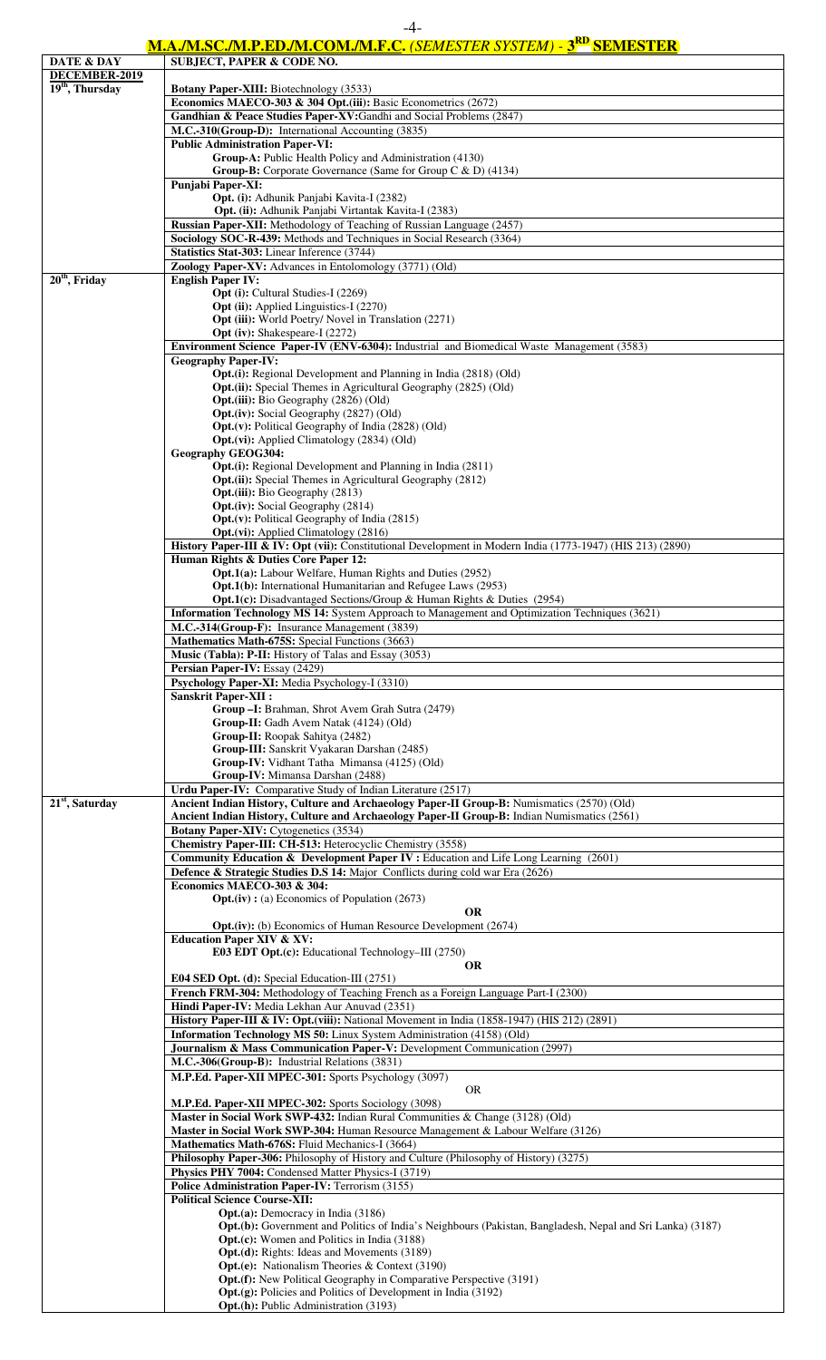### **M.A./M.SC./M.P.ED./M.COM./M.F.C.** *(SEMESTER SYSTEM) -* **3RD SEMESTER**

| DATE & DAY        | <u> ІІІ.А./ІІІ.ЭС./ІІІ.І .ЕD./ІІІ.СОІІІ./ІІІ.Г.С. (ЗЕМЕЗТЕК ЗІЗІЕМ / - Э — ЗЕІІЕЭТЕК</u><br><b>SUBJECT, PAPER &amp; CODE NO.</b>                                                      |
|-------------------|---------------------------------------------------------------------------------------------------------------------------------------------------------------------------------------|
| DECEMBER-2019     |                                                                                                                                                                                       |
| $19th$ , Thursday | <b>Botany Paper-XIII:</b> Biotechnology (3533)                                                                                                                                        |
|                   | Economics MAECO-303 & 304 Opt.(iii): Basic Econometrics (2672)                                                                                                                        |
|                   | Gandhian & Peace Studies Paper-XV:Gandhi and Social Problems (2847)                                                                                                                   |
|                   | M.C.-310(Group-D): International Accounting (3835)                                                                                                                                    |
|                   | <b>Public Administration Paper-VI:</b>                                                                                                                                                |
|                   | Group-A: Public Health Policy and Administration (4130)<br><b>Group-B:</b> Corporate Governance (Same for Group C $\&$ D) (4134)                                                      |
|                   | Punjabi Paper-XI:                                                                                                                                                                     |
|                   | Opt. (i): Adhunik Panjabi Kavita-I (2382)                                                                                                                                             |
|                   | Opt. (ii): Adhunik Panjabi Virtantak Kavita-I (2383)                                                                                                                                  |
|                   | Russian Paper-XII: Methodology of Teaching of Russian Language (2457)                                                                                                                 |
|                   | Sociology SOC-R-439: Methods and Techniques in Social Research (3364)                                                                                                                 |
|                   | Statistics Stat-303: Linear Inference (3744)                                                                                                                                          |
|                   | Zoology Paper-XV: Advances in Entolomology (3771) (Old)                                                                                                                               |
| $20th$ , Friday   | <b>English Paper IV:</b>                                                                                                                                                              |
|                   | Opt (i): Cultural Studies-I (2269)<br><b>Opt (ii):</b> Applied Linguistics-I (2270)                                                                                                   |
|                   | <b>Opt (iii):</b> World Poetry/ Novel in Translation (2271)                                                                                                                           |
|                   | <b>Opt (iv):</b> Shakespeare-I (2272)                                                                                                                                                 |
|                   | Environment Science Paper-IV (ENV-6304): Industrial and Biomedical Waste Management (3583)                                                                                            |
|                   | <b>Geography Paper-IV:</b>                                                                                                                                                            |
|                   | <b>Opt.(i):</b> Regional Development and Planning in India (2818) (Old)                                                                                                               |
|                   | Opt.(ii): Special Themes in Agricultural Geography (2825) (Old)                                                                                                                       |
|                   | <b>Opt.</b> (iii): Bio Geography (2826) (Old)<br><b>Opt.</b> (iv): Social Geography (2827) (Old)                                                                                      |
|                   | <b>Opt.</b> ( $v$ ): Political Geography of India (2828) (Old)                                                                                                                        |
|                   | <b>Opt.</b> (vi): Applied Climatology (2834) (Old)                                                                                                                                    |
|                   | <b>Geography GEOG304:</b>                                                                                                                                                             |
|                   | Opt.(i): Regional Development and Planning in India (2811)                                                                                                                            |
|                   | <b>Opt.</b> (ii): Special Themes in Agricultural Geography (2812)                                                                                                                     |
|                   | <b>Opt.</b> (iii): Bio Geography (2813)                                                                                                                                               |
|                   | <b>Opt.</b> (iv): Social Geography (2814)<br><b>Opt.</b> (v): Political Geography of India (2815)                                                                                     |
|                   | <b>Opt.</b> (vi): Applied Climatology (2816)                                                                                                                                          |
|                   | History Paper-III & IV: Opt (vii): Constitutional Development in Modern India (1773-1947) (HIS 213) (2890)                                                                            |
|                   | Human Rights & Duties Core Paper 12:                                                                                                                                                  |
|                   | Opt.1(a): Labour Welfare, Human Rights and Duties (2952)                                                                                                                              |
|                   | Opt.1(b): International Humanitarian and Refugee Laws (2953)                                                                                                                          |
|                   | <b>Opt.1(c):</b> Disadvantaged Sections/Group & Human Rights & Duties (2954)<br><b>Information Technology MS 14:</b> System Approach to Management and Optimization Techniques (3621) |
|                   | M.C.-314(Group-F): Insurance Management (3839)                                                                                                                                        |
|                   | Mathematics Math-675S: Special Functions (3663)                                                                                                                                       |
|                   | <b>Music (Tabla): P-II:</b> History of Talas and Essay (3053)                                                                                                                         |
|                   | Persian Paper-IV: Essay (2429)                                                                                                                                                        |
|                   | Psychology Paper-XI: Media Psychology-I (3310)                                                                                                                                        |
|                   | <b>Sanskrit Paper-XII:</b>                                                                                                                                                            |
|                   | Group - I: Brahman, Shrot Avem Grah Sutra (2479)                                                                                                                                      |
|                   | Group-II: Gadh Avem Natak (4124) (Old)<br>Group-II: Roopak Sahitya (2482)                                                                                                             |
|                   | Group-III: Sanskrit Vyakaran Darshan (2485)                                                                                                                                           |
|                   | Group-IV: Vidhant Tatha Mimansa (4125) (Old)                                                                                                                                          |
|                   | Group-IV: Mimansa Darshan (2488)                                                                                                                                                      |
|                   | Urdu Paper-IV: Comparative Study of Indian Literature (2517)                                                                                                                          |
| $21st$ , Saturday | Ancient Indian History, Culture and Archaeology Paper-II Group-B: Numismatics (2570) (Old)                                                                                            |
|                   | Ancient Indian History, Culture and Archaeology Paper-II Group-B: Indian Numismatics (2561)                                                                                           |
|                   | Botany Paper-XIV: Cytogenetics (3534)<br>Chemistry Paper-III: CH-513: Heterocyclic Chemistry (3558)                                                                                   |
|                   | Community Education & Development Paper IV : Education and Life Long Learning (2601)                                                                                                  |
|                   | Defence & Strategic Studies D.S 14: Major Conflicts during cold war Era (2626)                                                                                                        |
|                   | Economics MAECO-303 & 304:                                                                                                                                                            |
|                   | $Opt.(iv):$ (a) Economics of Population (2673)                                                                                                                                        |
|                   | <b>OR</b>                                                                                                                                                                             |
|                   | Opt.(iv): (b) Economics of Human Resource Development (2674)                                                                                                                          |
|                   | <b>Education Paper XIV &amp; XV:</b><br>E03 EDT Opt.(c): Educational Technology-III (2750)                                                                                            |
|                   | <b>OR</b>                                                                                                                                                                             |
|                   | E04 SED Opt. (d): Special Education-III (2751)                                                                                                                                        |
|                   | French FRM-304: Methodology of Teaching French as a Foreign Language Part-I (2300)                                                                                                    |
|                   | Hindi Paper-IV: Media Lekhan Aur Anuvad (2351)                                                                                                                                        |
|                   | History Paper-III & IV: Opt.(viii): National Movement in India (1858-1947) (HIS 212) (2891)                                                                                           |
|                   | Information Technology MS 50: Linux System Administration (4158) (Old)                                                                                                                |
|                   | Journalism & Mass Communication Paper-V: Development Communication (2997)<br>M.C.-306(Group-B): Industrial Relations (3831)                                                           |
|                   | M.P.Ed. Paper-XII MPEC-301: Sports Psychology (3097)                                                                                                                                  |
|                   | OR.                                                                                                                                                                                   |
|                   | M.P.Ed. Paper-XII MPEC-302: Sports Sociology (3098)                                                                                                                                   |
|                   | Master in Social Work SWP-432: Indian Rural Communities & Change (3128) (Old)                                                                                                         |
|                   | Master in Social Work SWP-304: Human Resource Management & Labour Welfare (3126)                                                                                                      |
|                   | Mathematics Math-676S: Fluid Mechanics-I (3664)                                                                                                                                       |
|                   | Philosophy Paper-306: Philosophy of History and Culture (Philosophy of History) (3275)                                                                                                |
|                   | Physics PHY 7004: Condensed Matter Physics-I (3719)<br>Police Administration Paper-IV: Terrorism (3155)                                                                               |
|                   | <b>Political Science Course-XII:</b>                                                                                                                                                  |
|                   | <b>Opt.(a):</b> Democracy in India (3186)                                                                                                                                             |
|                   | <b>Opt.(b):</b> Government and Politics of India's Neighbours (Pakistan, Bangladesh, Nepal and Sri Lanka) (3187)                                                                      |
|                   | <b>Opt.(c):</b> Women and Politics in India (3188)                                                                                                                                    |
|                   | <b>Opt.</b> (d): Rights: Ideas and Movements (3189)                                                                                                                                   |
|                   | <b>Opt.(e):</b> Nationalism Theories & Context (3190)<br><b>Opt.(f):</b> New Political Geography in Comparative Perspective (3191)                                                    |
|                   | Opt.(g): Policies and Politics of Development in India (3192)                                                                                                                         |
|                   | <b>Opt.(h):</b> Public Administration (3193)                                                                                                                                          |